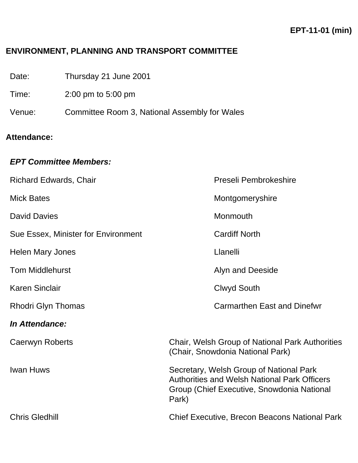### **ENVIRONMENT, PLANNING AND TRANSPORT COMMITTEE**

| Date: | Thursday 21 June 2001 |
|-------|-----------------------|
|-------|-----------------------|

Time: 2:00 pm to 5:00 pm

Venue: Committee Room 3, National Assembly for Wales

# **Attendance:**

#### *EPT Committee Members:*

| Richard Edwards, Chair              | Preseli Pembrokeshire                                                                                                                                 |
|-------------------------------------|-------------------------------------------------------------------------------------------------------------------------------------------------------|
| <b>Mick Bates</b>                   | Montgomeryshire                                                                                                                                       |
| <b>David Davies</b>                 | Monmouth                                                                                                                                              |
| Sue Essex, Minister for Environment | <b>Cardiff North</b>                                                                                                                                  |
| <b>Helen Mary Jones</b>             | Llanelli                                                                                                                                              |
| <b>Tom Middlehurst</b>              | Alyn and Deeside                                                                                                                                      |
| <b>Karen Sinclair</b>               | Clwyd South                                                                                                                                           |
| <b>Rhodri Glyn Thomas</b>           | <b>Carmarthen East and Dinefwr</b>                                                                                                                    |
| In Attendance:                      |                                                                                                                                                       |
| Caerwyn Roberts                     | Chair, Welsh Group of National Park Authorities<br>(Chair, Snowdonia National Park)                                                                   |
| <b>Iwan Huws</b>                    | Secretary, Welsh Group of National Park<br><b>Authorities and Welsh National Park Officers</b><br>Group (Chief Executive, Snowdonia National<br>Park) |
| <b>Chris Gledhill</b>               | <b>Chief Executive, Brecon Beacons National Park</b>                                                                                                  |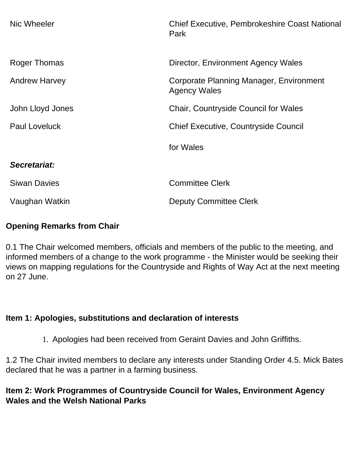| Nic Wheeler          | <b>Chief Executive, Pembrokeshire Coast National</b><br>Park   |
|----------------------|----------------------------------------------------------------|
| Roger Thomas         | Director, Environment Agency Wales                             |
| <b>Andrew Harvey</b> | Corporate Planning Manager, Environment<br><b>Agency Wales</b> |
| John Lloyd Jones     | <b>Chair, Countryside Council for Wales</b>                    |
| <b>Paul Loveluck</b> | <b>Chief Executive, Countryside Council</b>                    |
|                      | for Wales                                                      |
| Secretariat:         |                                                                |
| <b>Siwan Davies</b>  | <b>Committee Clerk</b>                                         |
| Vaughan Watkin       | <b>Deputy Committee Clerk</b>                                  |

### **Opening Remarks from Chair**

0.1 The Chair welcomed members, officials and members of the public to the meeting, and informed members of a change to the work programme - the Minister would be seeking their views on mapping regulations for the Countryside and Rights of Way Act at the next meeting on 27 June.

# **Item 1: Apologies, substitutions and declaration of interests**

1. Apologies had been received from Geraint Davies and John Griffiths.

1.2 The Chair invited members to declare any interests under Standing Order 4.5. Mick Bates declared that he was a partner in a farming business.

## **Item 2: Work Programmes of Countryside Council for Wales, Environment Agency Wales and the Welsh National Parks**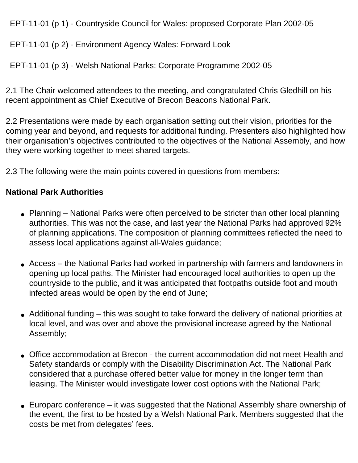EPT-11-01 (p 1) - Countryside Council for Wales: proposed Corporate Plan 2002-05

EPT-11-01 (p 2) - Environment Agency Wales: Forward Look

EPT-11-01 (p 3) - Welsh National Parks: Corporate Programme 2002-05

2.1 The Chair welcomed attendees to the meeting, and congratulated Chris Gledhill on his recent appointment as Chief Executive of Brecon Beacons National Park.

2.2 Presentations were made by each organisation setting out their vision, priorities for the coming year and beyond, and requests for additional funding. Presenters also highlighted how their organisation's objectives contributed to the objectives of the National Assembly, and how they were working together to meet shared targets.

2.3 The following were the main points covered in questions from members:

### **National Park Authorities**

- Planning National Parks were often perceived to be stricter than other local planning authorities. This was not the case, and last year the National Parks had approved 92% of planning applications. The composition of planning committees reflected the need to assess local applications against all-Wales guidance;
- Access the National Parks had worked in partnership with farmers and landowners in opening up local paths. The Minister had encouraged local authorities to open up the countryside to the public, and it was anticipated that footpaths outside foot and mouth infected areas would be open by the end of June;
- Additional funding this was sought to take forward the delivery of national priorities at local level, and was over and above the provisional increase agreed by the National Assembly;
- Office accommodation at Brecon the current accommodation did not meet Health and Safety standards or comply with the Disability Discrimination Act. The National Park considered that a purchase offered better value for money in the longer term than leasing. The Minister would investigate lower cost options with the National Park;
- $\bullet$  Europarc conference it was suggested that the National Assembly share ownership of the event, the first to be hosted by a Welsh National Park. Members suggested that the costs be met from delegates' fees.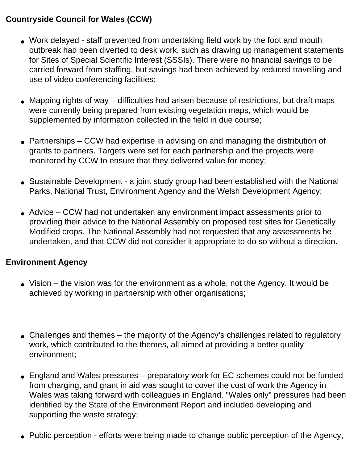## **Countryside Council for Wales (CCW)**

- Work delayed staff prevented from undertaking field work by the foot and mouth outbreak had been diverted to desk work, such as drawing up management statements for Sites of Special Scientific Interest (SSSIs). There were no financial savings to be carried forward from staffing, but savings had been achieved by reduced travelling and use of video conferencing facilities;
- Mapping rights of way difficulties had arisen because of restrictions, but draft maps were currently being prepared from existing vegetation maps, which would be supplemented by information collected in the field in due course;
- Partnerships CCW had expertise in advising on and managing the distribution of grants to partners. Targets were set for each partnership and the projects were monitored by CCW to ensure that they delivered value for money;
- Sustainable Development a joint study group had been established with the National Parks, National Trust, Environment Agency and the Welsh Development Agency;
- Advice CCW had not undertaken any environment impact assessments prior to providing their advice to the National Assembly on proposed test sites for Genetically Modified crops. The National Assembly had not requested that any assessments be undertaken, and that CCW did not consider it appropriate to do so without a direction.

### **Environment Agency**

- $\bullet$  Vision the vision was for the environment as a whole, not the Agency. It would be achieved by working in partnership with other organisations;
- Challenges and themes the majority of the Agency's challenges related to regulatory work, which contributed to the themes, all aimed at providing a better quality environment;
- England and Wales pressures preparatory work for EC schemes could not be funded from charging, and grant in aid was sought to cover the cost of work the Agency in Wales was taking forward with colleagues in England. "Wales only" pressures had been identified by the State of the Environment Report and included developing and supporting the waste strategy;
- Public perception efforts were being made to change public perception of the Agency,